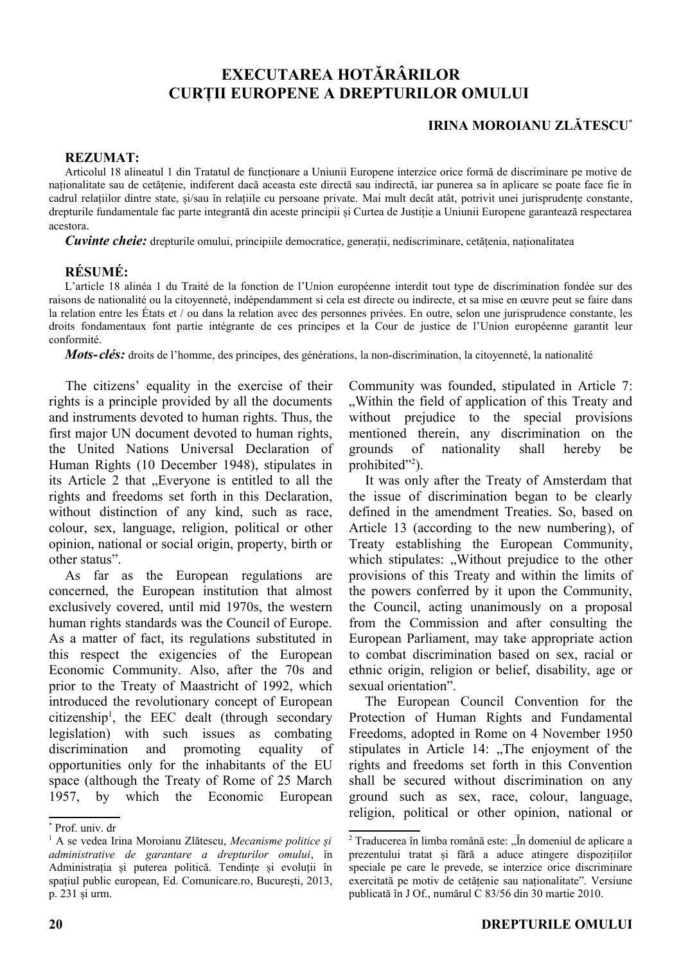## **EXECUTAREA HOTĂRÂRILOR CURȚII EUROPENE A DREPTURILOR OMULUI**

## **IRINA MOROIANU ZLĂTESCU\***

## **REZUMAT:**

Articolul 18 alineatul 1 din Tratatul de funcționare a Uniunii Europene interzice orice formă de discriminare pe motive de naționalitate sau de cetățenie, indiferent dacă aceasta este directă sau indirectă, iar punerea sa în aplicare se poate face fie în cadrul relațiilor dintre state, și/sau în relațiile cu persoane private. Mai mult decât atât, potrivit unei jurisprudențe constante, drepturile fundamentale fac parte integrantă din aceste principii și Curtea de Justiție a Uniunii Europene garantează respectarea acestora.

*Cuvinte cheie:* drepturile omului, principiile democratice, generații, nediscriminare, cetățenia, naționalitatea

## **RÉSUMÉ:**

L'article 18 alinéa 1 du Traité de la fonction de l'Union européenne interdit tout type de discrimination fondée sur des raisons de nationalité ou la citoyenneté, indépendamment si cela est directe ou indirecte, et sa mise en œuvre peut se faire dans la relation entre les États et / ou dans la relation avec des personnes privées. En outre, selon une jurisprudence constante, les droits fondamentaux font partie intégrante de ces principes et la Cour de justice de l'Union européenne garantit leur conformité.

*Mots-clés:* droits de l'homme, des principes, des générations, la non-discrimination, la citoyenneté, la nationalité

[T](#page-0-0)he citizens' equality in the exercise of their rights is a principle provided by all the documents and instruments devoted to human rights. Thus, the first major UN document devoted to human rights, the United Nations Universal Declaration of Human Rights (10 December 1948), stipulates in its Article 2 that "Everyone is entitled to all the rights and freedoms set forth in this Declaration, without distinction of any kind, such as race, colour, sex, language, religion, political or other opinion, national or social origin, property, birth or other status".

As far as the European regulations are concerned, the European institution that almost exclusively covered, until mid 1970s, the western human rights standards was the Council of Europe. As a matter of fact, its regulations substituted in this respect the exigencies of the European Economic Community. Also, after the 70s and prior to the Treaty of Maastricht of 1992, which introduced the revolutionary concept of European citizenship[1](#page-0-1) , the EEC dealt (through secondary legislation) with such issues as combating discrimination and promoting equality of opportunities only for the inhabitants of the EU space (although the Treaty of Rome of 25 March 1957, by which the Economic European

Community was founded, stipulated in Article 7: "Within the field of application of this Treaty and without prejudice to the special provisions mentioned therein, any discrimination on the grounds of nationality shall hereby be prohibited"<sup>[2](#page-0-2)</sup>).

It was only after the Treaty of Amsterdam that the issue of discrimination began to be clearly defined in the amendment Treaties. So, based on Article 13 (according to the new numbering), of Treaty establishing the European Community, which stipulates: "Without prejudice to the other provisions of this Treaty and within the limits of the powers conferred by it upon the Community, the Council, acting unanimously on a proposal from the Commission and after consulting the European Parliament, may take appropriate action to combat discrimination based on sex, racial or ethnic origin, religion or belief, disability, age or sexual orientation".

The European Council Convention for the Protection of Human Rights and Fundamental Freedoms, adopted in Rome on 4 November 1950 stipulates in Article 14:  $n$ , The enjoyment of the rights and freedoms set forth in this Convention shall be secured without discrimination on any ground such as sex, race, colour, language, religion, political or other opinion, national or

<span id="page-0-0"></span><sup>\*</sup> Prof. univ. dr

<span id="page-0-1"></span><sup>1</sup> A se vedea Irina Moroianu Zlătescu, *Mecanisme politice și administrative de garantare a drepturilor omului*, în Administrația și puterea politică. Tendințe și evoluții în spațiul public european, Ed. Comunicare.ro, București, 2013, p. 231 și urm.

<span id="page-0-2"></span><sup>&</sup>lt;sup>2</sup> Traducerea în limba română este: "În domeniul de aplicare a prezentului tratat și fără a aduce atingere dispozițiilor speciale pe care le prevede, se interzice orice discriminare exercitată pe motiv de cetățenie sau naționalitate". Versiune publicată în J Of., numărul C 83/56 din 30 martie 2010.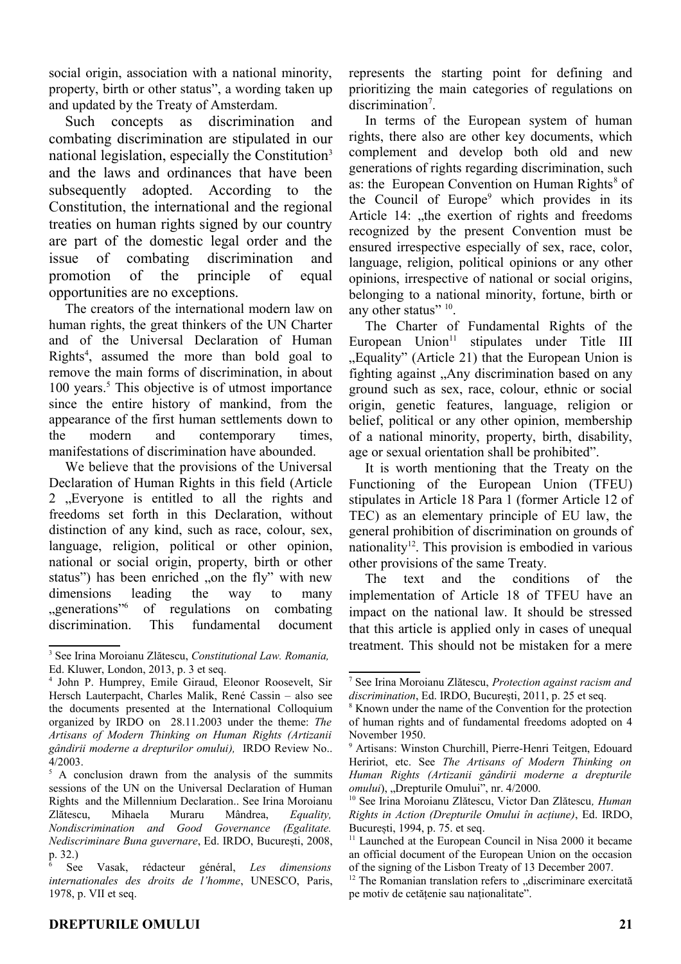social origin, association with a national minority, property, birth or other status", a wording taken up and updated by the Treaty of Amsterdam.

Such concepts as discrimination and combating discrimination are stipulated in our national legislation, especially the Constitution<sup>[3](#page-1-0)</sup> and the laws and ordinances that have been subsequently adopted. According to the Constitution, the international and the regional treaties on human rights signed by our country are part of the domestic legal order and the issue of combating discrimination and promotion of the principle of equal opportunities are no exceptions.

The creators of the international modern law on human rights, the great thinkers of the UN Charter and of the Universal Declaration of Human Rights<sup>[4](#page-1-1)</sup>, assumed the more than bold goal to remove the main forms of discrimination, in about 100 years.<sup>[5](#page-1-2)</sup> This objective is of utmost importance since the entire history of mankind, from the appearance of the first human settlements down to the modern and contemporary times, manifestations of discrimination have abounded.

We believe that the provisions of the Universal Declaration of Human Rights in this field (Article 2 . Everyone is entitled to all the rights and freedoms set forth in this Declaration, without distinction of any kind, such as race, colour, sex, language, religion, political or other opinion, national or social origin, property, birth or other status") has been enriched "on the fly" with new dimensions leading the way to many  $\cdot$  generations"<sup>[6](#page-1-3)</sup> of regulations on combating discrimination. This fundamental document

In terms of the European system of human rights, there also are other key documents, which complement and develop both old and new generations of rights regarding discrimination, such as: the European Convention on Human Rights<sup>[8](#page-1-5)</sup> of the Council of Europe<sup>[9](#page-1-6)</sup> which provides in its Article 14: "the exertion of rights and freedoms recognized by the present Convention must be ensured irrespective especially of sex, race, color, language, religion, political opinions or any other opinions, irrespective of national or social origins, belonging to a national minority, fortune, birth or any other status"  $10$ .

The Charter of Fundamental Rights of the European  $Union<sup>11</sup>$  $Union<sup>11</sup>$  $Union<sup>11</sup>$  stipulates under Title III . Equality" (Article 21) that the European Union is fighting against "Any discrimination based on any ground such as sex, race, colour, ethnic or social origin, genetic features, language, religion or belief, political or any other opinion, membership of a national minority, property, birth, disability, age or sexual orientation shall be prohibited".

It is worth mentioning that the Treaty on the Functioning of the European Union (TFEU) stipulates in Article 18 Para 1 (former Article 12 of TEC) as an elementary principle of EU law, the general prohibition of discrimination on grounds of nationality<sup>[12](#page-1-9)</sup>. This provision is embodied in various other provisions of the same Treaty.

The text and the conditions of the implementation of Article 18 of TFEU have an impact on the national law. It should be stressed that this article is applied only in cases of unequal treatment. This should not be mistaken for a mere

<span id="page-1-0"></span><sup>3</sup> See Irina Moroianu Zlătescu, *Constitutional Law. Romania,* Ed. Kluwer, London, 2013, p. 3 et seq.

<span id="page-1-1"></span><sup>4</sup> John P. Humprey, Emile Giraud, Eleonor Roosevelt, Sir Hersch Lauterpacht, Charles Malik, René Cassin – also see the documents presented at the International Colloquium organized by IRDO on 28.11.2003 under the theme: *The Artisans of Modern Thinking on Human Rights (Artizanii gândirii moderne a drepturilor omului),* IRDO Review No.. 4/2003.

<span id="page-1-2"></span><sup>&</sup>lt;sup>5</sup> A conclusion drawn from the analysis of the summits sessions of the UN on the Universal Declaration of Human Rights and the Millennium Declaration.. See Irina Moroianu Zlătescu, Mihaela Muraru Mândrea, *Equality, Nondiscrimination and Good Governance (Egalitate. Nediscriminare Buna guvernare*, Ed. IRDO, București, 2008, p. 32.)

<span id="page-1-3"></span><sup>6</sup> See Vasak, rédacteur général, *Les dimensions internationales des droits de l'homme*, UNESCO, Paris, 1978, p. VII et seq.

<span id="page-1-4"></span><sup>7</sup> See Irina Moroianu Zlătescu, *Protection against racism and discrimination*, Ed. IRDO, București, 2011, p. 25 et seq.

<span id="page-1-5"></span><sup>8</sup> Known under the name of the Convention for the protection of human rights and of fundamental freedoms adopted on 4 November 1950.

<span id="page-1-6"></span><sup>9</sup> Artisans: Winston Churchill, Pierre-Henri Teitgen, Edouard Heririot, etc. See *The Artisans of Modern Thinking on Human Rights (Artizanii gândirii moderne a drepturile omului*), "Drepturile Omului", nr. 4/2000.

<span id="page-1-7"></span><sup>10</sup> See Irina Moroianu Zlătescu, Victor Dan Zlătescu*, Human Rights in Action (Drepturile Omului în acțiune)*, Ed. IRDO, București, 1994, p. 75. et seq.

<span id="page-1-8"></span><sup>&</sup>lt;sup>11</sup> Launched at the European Council in Nisa 2000 it became an official document of the European Union on the occasion of the signing of the Lisbon Treaty of 13 December 2007.

<span id="page-1-9"></span> $12$  The Romanian translation refers to  $\alpha$ , discriminare exercitată pe motiv de cetățenie sau naționalitate".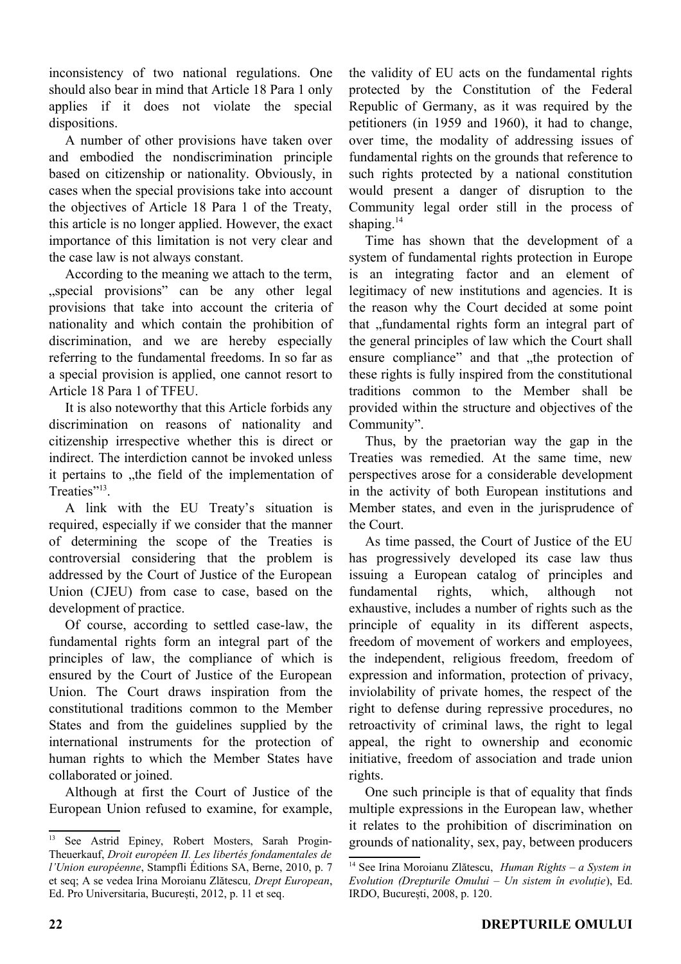inconsistency of two national regulations. One should also bear in mind that Article 18 Para 1 only applies if it does not violate the special dispositions.

A number of other provisions have taken over and embodied the nondiscrimination principle based on citizenship or nationality. Obviously, in cases when the special provisions take into account the objectives of Article 18 Para 1 of the Treaty, this article is no longer applied. However, the exact importance of this limitation is not very clear and the case law is not always constant.

According to the meaning we attach to the term, "special provisions" can be any other legal provisions that take into account the criteria of nationality and which contain the prohibition of discrimination, and we are hereby especially referring to the fundamental freedoms. In so far as a special provision is applied, one cannot resort to Article 18 Para 1 of TFEU.

It is also noteworthy that this Article forbids any discrimination on reasons of nationality and citizenship irrespective whether this is direct or indirect. The interdiction cannot be invoked unless it pertains to "the field of the implementation of Treaties"<sup>[13](#page-2-0)</sup>.

A link with the EU Treaty's situation is required, especially if we consider that the manner of determining the scope of the Treaties is controversial considering that the problem is addressed by the Court of Justice of the European Union (CJEU) from case to case, based on the development of practice.

Of course, according to settled case-law, the fundamental rights form an integral part of the principles of law, the compliance of which is ensured by the Court of Justice of the European Union. The Court draws inspiration from the constitutional traditions common to the Member States and from the guidelines supplied by the international instruments for the protection of human rights to which the Member States have collaborated or joined.

Although at first the Court of Justice of the European Union refused to examine, for example,

the validity of EU acts on the fundamental rights protected by the Constitution of the Federal Republic of Germany, as it was required by the petitioners (in 1959 and 1960), it had to change, over time, the modality of addressing issues of fundamental rights on the grounds that reference to such rights protected by a national constitution would present a danger of disruption to the Community legal order still in the process of shaping. $14$ 

Time has shown that the development of a system of fundamental rights protection in Europe is an integrating factor and an element of legitimacy of new institutions and agencies. It is the reason why the Court decided at some point that "fundamental rights form an integral part of the general principles of law which the Court shall ensure compliance" and that , the protection of these rights is fully inspired from the constitutional traditions common to the Member shall be provided within the structure and objectives of the Community".

Thus, by the praetorian way the gap in the Treaties was remedied. At the same time, new perspectives arose for a considerable development in the activity of both European institutions and Member states, and even in the jurisprudence of the Court.

As time passed, the Court of Justice of the EU has progressively developed its case law thus issuing a European catalog of principles and fundamental rights, which, although not exhaustive, includes a number of rights such as the principle of equality in its different aspects, freedom of movement of workers and employees, the independent, religious freedom, freedom of expression and information, protection of privacy, inviolability of private homes, the respect of the right to defense during repressive procedures, no retroactivity of criminal laws, the right to legal appeal, the right to ownership and economic initiative, freedom of association and trade union rights.

One such principle is that of equality that finds multiple expressions in the European law, whether it relates to the prohibition of discrimination on grounds of nationality, sex, pay, between producers

<span id="page-2-0"></span><sup>&</sup>lt;sup>13</sup> See Astrid Epiney, Robert Mosters, Sarah Progin-Theuerkauf, *Droit européen II. Les libertés fondamentales de l'Union européenne*, Stampfli Éditions SA, Berne, 2010, p. 7 et seq; A se vedea Irina Moroianu Zlătescu*, Drept European*, Ed. Pro Universitaria, București, 2012, p. 11 et seq.

<span id="page-2-1"></span><sup>14</sup> See Irina Moroianu Zlătescu, *Human Rights – a System in Evolution (Drepturile Omului – Un sistem în evoluție*), Ed. IRDO, București, 2008, p. 120.